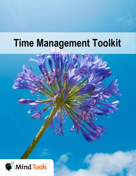# **Time Management Toolkit**

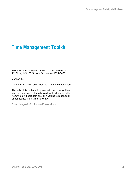# **Time Management Toolkit**

This e-book is published by Mind Tools Limited, of 2<sup>nd</sup> Floor, 145-157 St John St, London, EC1V 4PY.

Version 1.2

Copyright © Mind Tools 2009-2011. All rights reserved.

This e-book is protected by international copyright law. You may only use it if you have downloaded it directly from the mindtools.com site, or if you have received it under license from Mind Tools Ltd.

Cover image © iStockphoto/Photobvious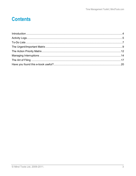# **Contents**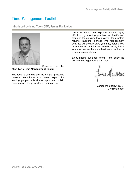## <span id="page-3-0"></span>**Time Management Toolkit**

**Introduced by Mind Tools CEO, James Manktelow** 



Welcome to the Mind Tools **Time Management Toolkit**!

The tools it contains are the simple, practical, powerful techniques that have helped the leading people in business, sport and public service reach the pinnacles of their careers.

The skills we explain help you become highly effective, by showing you how to identify and focus on the activities that give you the greatest returns. Investing in these time management activities will actually save you time, helping you work smarter, not harder. What's more, these same techniques help you beat work overload – a key source of stress.

Enjoy finding out about them  $-$  and enjoy the benefits you'll get from them, too!

ames Mau

James Manktelow, CEO, MindTools.com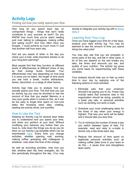# <span id="page-4-0"></span>**Activity Logs**

**Finding out how you really spend your time** 

How long do you spend each day on unimportant things - things that don't really contribute to your success at work? Do you KNOW how much time you've spent reading junk mail, talking to colleagues, making coffee and eating lunch? And how often have you thought, 'I could achieve so much more if I just had another half hour each day.'

And are you aware of when in the day you check your e-mail, write important articles or do your long-term planning?

Most people find that they function at different levels of effectiveness at different times of day as their energy levels fluctuate. Your effectiveness may vary depending on how long it is since you've eaten, the length of time since you last took a break, routine distractions, stress, discomfort, or a range of other factors.

Activity logs help you to analyze how you actually spend your time. The first time you use an activity log you may be shocked to see the amount of time that you waste! Memory is a very poor guide when it comes to this, as it can be too easy to forget time spent on non-core tasks like browsing news sites, chatting, reading low priority email, and suchlike.

#### How to Use the Tool

Keeping an Activity Log for several days helps you to understand how you spend your time, and when you perform at your best. Without modifying your behavior any further than you have to, note down the things you do as you do them on our Activity Log template which can be downloaded [here.](http://www.mindtools.com/pages/article/worksheets/ActivityLogDownload.htm) Every time you change activities, whether opening mail, working, making coffee, gossiping with colleagues or whatever, note down the time of the change.

As well as recording activities, note how you feel, whether alert, flat, tired, energetic, etc. Do this periodically throughout the day. (You may decide to integrate your activity log with a [stress](http://www.mindtools.com/pages/article/newTCS_01.htm)  [diary.](http://www.mindtools.com/pages/article/newTCS_01.htm))

#### Learning from Your Log

Once you have logged your time for a few days, analyze your daily activity log. You may be alarmed to see the amount of time you spend doing low value jobs!

You may also see that you are energetic in some parts of the day, and flat in other parts. A lot of this can depend on the rest breaks you take, the times and amounts you eat, and quality of your nutrition. The activity log gives you some basis for experimenting with these variables.

Your analysis should help you to free up extra time in your day by applying one of the following actions to most activities:

- 1. Eliminate jobs that your employer shouldn't be paying you to do. These may include tasks that someone else in the organization should be doing, possibly at a lower pay rate, or personal activities such as sending non-work e-mails.
- 2. Schedule your most challenging tasks for the times of day when your energy is highest. That way your work will be better and it should take you less time.
- 3. Try to minimize the number of times a day you switch between types of task. For example, read and reply to e-mails in blocks only a few times each day.
- 4. Reduce the amount of time spent on legitimate personal activities such as making coffee (take turns in your team to do this – it saves time and strengthens team spirit).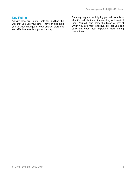#### Key Points

Activity logs are useful tools for auditing the way that you use your time. They can also help you to track changes in your energy, alertness and effectiveness throughout the day.

By analyzing your activity log you will be able to identify and eliminate time-wasting or low-yield jobs. You will also know the times of day at which you are most effective, so that you can carry out your most important tasks during these times.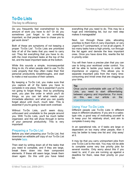# <span id="page-6-0"></span>**To-Do Lists**

#### **The key to efficiency**

Do you frequently feel overwhelmed by the amount of work you have to do? Or do you sometimes just forget to do something important, so that people have to chase you to get work done?

Both of these are symptoms of not keeping a proper 'To-Do List'. To-Do Lists are prioritized lists of all of the tasks that you need to carry out. They list everything that you have to do, with the most important tasks at the top of the list, and the least important tasks at the bottom.

While this sounds a simple, inconsequential thing to do, it's when people start to use To-Do Lists properly that they often make their first personal productivity breakthroughs, and start to make a real success of their careers.

By keeping a To-Do List, you make sure that you capture all of the tasks you have to complete in one place. This is essential if you're not going to forget things. And by prioritizing work, you plan the order in which you'll do things, so you can tell what needs your immediate attention, and what you can quietly forget about until much, much later. This is essential if you're going to beat work overload.

Without To-Do Lists, you'll seem dizzy, unfocused and unreliable to the people around you. With To-Do Lists, you'll be much better organized, and this will show through in terms of your personal productivity. This is very important!

#### Preparing a To-Do List

Before you start preparing your To-Do List, first download an editable pdf copy of our To-Do List template [here.](http://www.mindtools.com/pages/article/worksheets/PrioritizedToDolistDownload.htm)

Then start by writing down all of the tasks that you need to complete, and if they are large, break them down into their component elements. If these still seem large, break them down again. Do this until you have listed everything that you need to do. This may be a huge and intimidating list, but our next step makes it manageable!

Next, run through these jobs, allocating priorities to them from A (very important, or very urgent) to F (unimportant, or not at all urgent). If too many tasks have a high priority, run through the list again and demote the less important ones. Once you have done this, rewrite the list in priority order.

You will then have a precise plan that you can use to bring your workload under control. You will be able to tackle your tasks in order of importance or urgency. This allows you to separate important jobs from the many timeconsuming and trivial ones that are clogging up your time.

#### **Tip:**

Once you're comfortable with use of To-Do Lists, you need to start differentiating between urgency and importance. For more on this, see our article on the [Urgent/Important Matrix.](http://www.mindtools.com/pages/article/newHTE_91.htm)

#### Using Your To-Do Lists

Different people use To-Do Lists in different ways in different situations: if you are in a salestype role, a good way of motivating yourself is to keep your list relatively short, and aim to complete it every day.

In an operational role, or if tasks are large or dependent on too many other people, then it may be better to keep one list and 'chip away' at it.

It may be that you carry unimportant jobs from one To-Do List to the next. You may not be able to complete some very low priority jobs for several months. Only worry about this if you need to, and, if you are running up against a deadline for them, raise their priority on your list.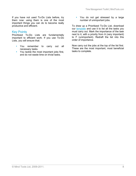If you have not used To-Do Lists before, try them now: using them is one of the most important things you can do to become really productive and efficient.

#### Key Points

Prioritized To-Do Lists are fundamentally important to efficient work. If you use To-Do Lists, you will ensure that:

- You remember to carry out all necessary tasks.
- You tackle the most important jobs first, and do not waste time on trivial tasks.

• You do not get stressed by a large number of unimportant jobs.

To draw up a Prioritized To-Do List, download our [template](http://www.mindtools.com/pages/article/worksheets/PrioritizedToDolistDownload.htm) and use it to list all the tasks you must carry out. Mark the importance of the task next to it, with a priority from A (very important) to F (unimportant). Redraft the list into this order of importance.

Now carry out the jobs at the top of the list first. These are the most important, most beneficial tasks to complete.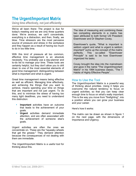# <span id="page-8-0"></span>**The Urgent/Important Matrix**

**Using time effectively, not just efficiently** 

We've all been there: The project is due for today's meeting and we are only three quarters done. We're anxious, we can't concentrate, everything is a distraction, and then, finally, we blow. Time stressors are the most pervasive source of pressure and stress in the workplace and they happen as a result of having too much to do in too little time.

With this kind of pressure all too common, effective time management is an absolute necessity. You probably use a day-planner and to-do list to manage your time. These tools are certainly helpful, but they don't allow you to drill down to one of the most essential elements of good time management: distinguishing between what is important and what is urgent.

Great time management means being effective as well as efficient. Managing time effectively, and achieving the things that you want to achieve, means spending your time on things that are important and not just urgent. To do this, and to minimize the stress of having too many tight deadlines, you need to understand this distinction:

- **Important** activities have an outcome that leads to the achievement of your goals.
- **Urgent** activities demand immediate attention, and are often associated with the achievement of someone else's goals.

Urgent activities are often the ones we concentrate on. These are the "squeaky wheels that get the grease." They demand attention because the consequences of not dealing with them are immediate.

The Urgent/Important Matrix is a useful tool for thinking about this.

The idea of measuring and combining these two competing elements in a matrix has been attributed to both former US President Eisenhower and Dr Stephen Covey.

Eisenhower's quote, "What is important is seldom urgent and what is urgent is seldom important" sums up the concept of the matrix<br>perfectly. This so-called "Eisenhower perfectly. This so-called "Eisenhower Principle" is said to be how Eisenhower organized his tasks.

Covey brought the idea into the mainstream and gave it the name "The Urgent/Important Matrix" in his 1994 business classic, "The 7 Habits of Highly Effective People".

#### How to Use the Tool

The Urgent/Important Matrix is a powerful way of thinking about priorities. Using it helps you overcome the natural tendency to focus on urgent activities, so that you can keep clear enough time to focus on what's really important. This is the way you move from "firefighting", into a position where you can grow your business and your career.

Here's how it works:

The matrix can be drawn as shown in figure 1 on the next page, with the dimensions of Importance and Urgency.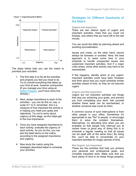

**Figure 1: Urgent/Important Matrix**

The steps below help you use the matrix to prioritize your activities:

- 1. The first step is to list all the activities and projects you feel you have to do. Try to include everything that takes up your time at work, however unimportant. (If you manage your time using an [Action Program,](http://www.mindtools.com/pages/article/newHTE_83.htm) you'll have done this already.)
- 2. Next, assign importance to each of the activities – you can do this on, say, a scale of 1 to 5: remember, this is a measure of how important the activity is in helping you meet your goals and objectives. Try not to worry about urgency at this stage, as this helps get to the true importance.
- 3. Once you have assigned importance to each activity, evaluate the urgency of each activity. As you do this, you can plot the listed items on the matrix, according to the assigned importance and urgency.
- 4. Now study the matrix using the strategies described below to schedule your priorities.

#### Strategies for Different Quadrants of the Matrix

#### **Urgent and Important**

There are two distinct types of urgent and important activities: Ones that you could not foresee, and others that you have left to the last minute.

You can avoid the latter by planning ahead and avoiding procrastination.

Issues and crises, on the other hand, cannot always be foreseen or avoided. Here, the best approach is to leave some time in your schedule to handle unexpected issues and unplanned important activities. And if a major crisis arises, some other activity may have to be rescheduled.

If this happens, identify which of you urgentimportant activities could have been foreseen and think about how you could schedule similar activities ahead of time, so they do not become urgent.

#### **Urgent and Not Important**

Urgent but not important activities are things that stop you achieving your goals, and prevent you from completing your work. Ask yourself whether these tasks can be rescheduled, or whether someone else could do them.

A common source of such interruptions is from other people in your office. Sometimes it's appropriate to say "No" to people, or encourage them to solve the problem themselves. Alternatively, try allocating time when you are available so that people only interrupt you at certain times (a good way of doing this is to schedule a regular meeting so that all issues can be dealt with at the same time.) By doing this, you'll be able to concentrate on your important activities for longer periods of time.

#### **Not Urgent, but Important**

These are the activities that help you achieve your personal and professional goals, and complete important work. Make sure that you have plenty of time to do these things properly,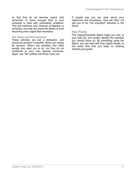so that they do not become urgent. And remember to leave enough time in your schedule to deal with unforeseen problems. This will maximize your chances of keeping on schedule, and help you avoid the stress of work becoming more urgent that necessary.

#### **Not Urgent and Not Important**

These activities are just a distraction, and should be avoided if possible. Some can simply be ignored. Others are activities that other people may want you to do, but they do not contribute to your own desired outcomes. Again, say "No" politely and firmly if you can.

If people see you are clear about your objectives and boundaries, they will often not ask you to do "not important" activities in the future.

#### Key Points

The Urgent/Important Matrix helps you look at your task list, and quickly identify the activities you should focus on. By prioritizing using the Matrix, you can deal with truly urgent issues, at the same time that you keep on working towards your goals.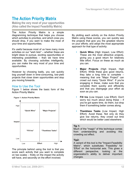# <span id="page-11-0"></span>**The Action Priority Matrix**

**Making the very most of your opportunities (Also called the Impact Feasibility Matrix)** 

The Action Priority Matrix is a simple diagramming technique that helps you choose which activities to prioritize, and which ones you should drop, if you want to make the most of your time and opportunities.

It's useful because most of us have many more activities on our "wish lists" – whether these are bright ideas to pursue, exciting opportunities or interesting possibilities – than we have time available. By choosing activities intelligently, you can make the very most of your time and opportunities.

However by choosing badly, you can quickly bog yourself down in time-consuming, low-yield projects that close down opportunities and stop you moving forwards.

#### How to Use the Tool

Figure 1 below shows the basic form of the Action Priority Matrix:



The principle behind using the tool is that you score each activity that you want to complete on two scales – firstly on the impact the activity will have, and secondly on the effort involved.

By plotting each activity on the Action Priority Matrix using these scores, you can quickly see the projects that give you the greatest returns on your efforts; and adopt the most appropriate approach for that type of activity:

- **Quick Wins** (High Impact, Low Effort): These are the most attractive projects, giving you a good return for relatively little effort. Focus on these as much as you can.
- **Major Projects** (High Impact, High Effort): While these give good returns, they take a long time to complete  $$ meaning that one "Major Project" can crowd out many "Quick Wins". If you're engaging in these, make sure that you complete them quickly and efficiently and that you disengage your effort as soon as you can.
- **Fill Ins** (Low Impact, Low Effort): Don't worry too much about doing these – if you've got spare time, do them, but drop them if something better comes along.
- **Thankless Tasks** (Low Impact, High Effort): Avoid these. Not only do they give low returns, they crowd out time which would be better used elsewhere.

#### **Tip 1:**

Much of the "magic" of this technique comes from understanding and avoiding this crowding out effect.

#### **Tip2:**

A variant of this tool is the "Impact-Feasibility Matrix", which substitutes 'Feasibility' for 'Effort' on the horizontal axis. This gives a different perspective, looking at the organization's ability to deliver important changes.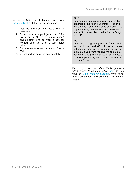To use the Action Priority Matrix, print off our [free worksheet](http://www.mindtools.com/pages/article/worksheets/ActionPriorityMatrixDownload.htm) and then follow these steps:

- 1. List the activities that you'd like to complete.
- 2. Score them on impact (from, say, 0 for no impact to 10 for maximum impact) and on effort involved (from 0, say, for no real effort to 10 for a very major effort).
- 3. Plot the activities on the Action Priority Matrix.
- 4. Select or drop activities appropriately.

#### **Tip 3:**

Use common sense in interpreting the lines separating the four quadrants – after all, there's only a small difference between a 4.9 impact activity defined as a "thankless task", and a 5.1 impact task defined as a "major project".

#### **Tip 4:**

Above we're suggesting a scale from 0 to 10 for both impact and effort. However there's nothing stopping you using other scales – for example if you were ranking major projects, you might use \$ financial return as the scale on the impact axis, and "man days activity" on the effort axis.

*This is just one of Mind Tools' personal effectiveness techniques. Click [here](https://www.mindtools.com/cgi-bin/sgx2/shop.cgi?page=MakeTimeForSuccess-LSC.htm) to see more on [Make Time for Success,](https://www.mindtools.com/cgi-bin/sgx2/shop.cgi?page=MakeTimeForSuccess-LSC.htm) Mind Tools' time management and personal effectiveness program.*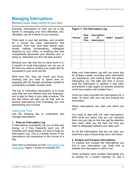### <span id="page-13-0"></span>**Managing Interruptions**

**Maintain focus. Keep control of your time.** 

Everyday interruptions at work can be a key barrier to managing your time effectively and, ultimately, can be a barrier to your success.

Think back to your last workday, and consider for a minute the many interruptions that occurred. They may have been phone calls, emails, hallway conversations, colleagues stopping by your office, or anything else that unexpectedly demanded your attention and, in doing so, distracted you from the task at-hand.

Because your day only has so many hours in it, a handful of small interruptions can rob you of the time you need to achieve your goals and be successful in your work and life.

More than this, they can break your focus, meaning that you have to spend time reengaging with the thought processes needed to successfully complete complex work.

The key to controlling interruptions is to know what they are and whether they are necessary, and to plan for them in your daily schedule. The tips that follow will help you do that, and so prevent interruptions from frustrating you and jeopardizing your success.

#### Using the Tool

Use the following tips to understand and manage interruptions:

#### **1. Keep an Interrupters Log**

If interruptions consistently rob you of time and energy, or if they frequently push you off schedule and cause delays, it's time to keep an Interrupters Log. This is a simple record of the interruptions you experience in the course of a day.

Click here to download our free [Interrupters Log](http://www.mindtools.com/pages/article/worksheets/InterruptersLogDownload.htm)  [Worksheet.](http://www.mindtools.com/pages/article/worksheets/InterruptersLogDownload.htm) Figure 1 shows an example of it.

| <b>Person</b> | <b>Date</b><br>and<br><b>Time</b> | <b>Description</b><br>οf<br>Interruption | Valid? | Urgent? |
|---------------|-----------------------------------|------------------------------------------|--------|---------|
|               |                                   |                                          |        |         |
|               |                                   |                                          |        |         |
|               |                                   |                                          |        |         |
|               |                                   |                                          |        |         |
|               |                                   |                                          |        |         |
|               |                                   |                                          |        |         |
|               |                                   |                                          |        |         |

#### **Figure 1: The Interrupters Log**

Keep your Interrupters Log with you every day for at least a week, recording every interruption you experience, and marking down the person interrupting you; the date and time it occurs; what the interruption is; whether it was valid; and whether it was urgent (or whether someone could have waited until a better time.)

Once you have recorded the interruptions for a week, sit down with your log and analyze the information.

Which interruptions are valid and which are not?

You need to deal with the valid interruptions. We'll show you below how you can schedule them into your day so that they get the attention they need, while you still have the time you need to adequately address your daily work.

As for the interruptions that are not valid, you must find a way to block these out in the future.

#### **2. Analyze and Conquer Interruptions**

To analyze and conquer the interruptions you find in your Interrupters Log, firstly look at whether the interruption is valid or not.

Could someone have avoided interrupting you by waiting for a routine meeting? Or was it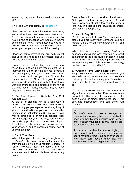something they should have asked you about at all?

If not, deal with this politely but [assertively.](http://www.mindtools.com/pages/article/Assertiveness.htm)

Next, look at how urgent the interruptions were, and whether they could have been pre-empted. You can pre-empt many interruptions by holding routine meetings with people: If they're confident that they'll have access to you at a defined point in the near future, they'll learn to save up non-urgent issues until this meeting.

However, some interruptions are both urgent and valid. You need to be interrupted, and you need to deal with the situation.

From your Interrupters Log, you'll see how much time is taken up by these urgent, valid interruptions. Block this time into your schedule as "contingency time", and only take on as much other work as you can fit into the remaining time. You'll have to juggle this other work around the interruptions, but at least you won't be overloaded and stressed by the things that you haven't done, because they've been displaced by emergencies.

#### **3. Put Your Phone to Work for You (Not Against You)**

A little bit of planning can go a long way in working to control telephone interruptions, which many people experience all day long. If you are on a deadline or your focus needs to be intense (and not interrupted), use your voice mail to screen calls, or have an assistant deal with messages for you. This way, you can deal with calls by priority, and at times that suit you. In fact, this telephone time can be planned into your schedule, and so become a normal part of your working day.

#### **4. Catch Your Breath**

When interrupted, it's easy to get caught up in the "rush" of the person who is interrupting, for they undoubtedly feel their request is urgent. In reality, however, most interruptions are not genuinely crisis-driven, and it can serve everyone best to take a little time before taking action.

Take a few minutes to consider the situation. Catch your breath and clear your head. A small delay, even one of just a few minutes, goes a long way in assessing the situation accurately and reacting appropriately.

#### **5. Learn to Say "No"**

It's often acceptable to say "no" to requests or tasks if you are busy when someone else can handle it, if it is not an important task, or if it can be done later.

When this is the case, saying "no" in a courteous and sincere way, followed by a short explanation is the best course of action to take: "I am working against a very tight deadline on an important project right now so, I am sorry, but I can not jump in and help".

#### **6. "Available" and "Unavailable" Time**

Simple yet effective: Let people know when you are available. and when you are not. Make sure that people know that during your "unavailable time", they should only interrupt you if they have to.

You and your co-workers can also agree on a signal that everyone in the office can use when unavailable, like turning the nameplate on the door around, or simply closing the door. This alleviates interruptions and can avoid hurt feelings.

#### **Tip:**

Be careful here. If you're a manager, an important part of your job is to be available to people, to handle urgent issues which arise, and to coach your team so that people are as effective as possible.

If you put up barriers that are too high, you won't be able to do these jobs. By all means, use "unavailable time", but don't over use it, and make sure people know they can interrupt you if there is a genuine crisis.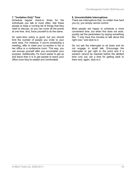#### **7. "Invitation Only" Time**

Schedule regular check-in times for the individuals you talk to most often. Ask these people to keep a running list of things that they need to discuss, so you can cover all the points at one time. And, force yourself to do the same.

An open-door policy is good, but you should limit the number of people you invite to your work area. For instance, if you're scheduling a meeting, offer to meet your co-worker in his or her office or a conference room. This way, you can excuse yourself after you accomplish your purpose. Additionally, it's much easier to get up and leave than it is to get people to leave your office once they're seated and comfortable.

#### **8. Uncontrollable Interruptions**

There are interruptions that, no matter how hard you try, you simply cannot control.

Most people are happy to schedule a more convenient time, but when this does not work, quickly set the parameters by saying something like, "I only have five minutes to talk about this right now," and stick to it.

Do not ask the interrupter to sit down and do not engage in small talk. Encourage the interrupter to get right to the point and if a solution cannot be reached before the allotted time runs out, set a time for getting back to them and, again, stick to it.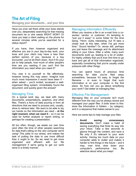# <span id="page-16-0"></span>**The Art of Filing**

**Managing your documents... and your time** 

Have you ever sat there while your boss stands over you, desperately searching for that missing document he or she needs RIGHT NOW? Or have you kept a client waiting on the phone for several minutes while you've searched for a status report?

If you have, then however organized and effective you are in your day-to-day work, your boss and your client may have a less than perfect opinion of you, because in a key encounter, you've let them down. And if it's your job to help people, how much of other people's time are you wasting if you can't find the information you need when you need it?

You owe it to yourself to file effectively, however boring this may seem. Imagine how much more impressive it would have been if – when asked – you'd smiled, accessed a wellorganized filing system, immediately found the document, and quickly given the answer!

#### Managing Time

On a typical work day, we deal with many documents, presentations, graphics, and other files. There's a flurry of data pouring in from all directions that we need to process and, usually, store to retrieve later. We want to be able to lay our hands on the information we need – **at the right moment, when we need it** – so it can be used for further analysis or report writing, or perhaps for creating a presentation.

All too often, though, we waste our own time (and often the time of other people) searching for data that's sitting on the very computer we're using! This adds to our stress, and makes the task of putting the data to use more difficult than it ought to be. So we need to get more organized and efficient with our file management if we're going to get our work done in a timely manner.

#### Managing Information Efficiently

When you receive a file in an e-mail from a coworker, vendor, or customer, it's tempting to "just put it away" in some folder for the time being. "Hmm. looks interesting, but I'll take a closer look at this later, when I've got more time." Sound familiar? Or, worse still, perhaps you just leave the message and its attachment sitting in your Inbox. After a while, many such documents build up, leading to a lot of clutter. It's highly unlikely that you'll ever find time to go back and get all of that information organized, especially considering that you're usually under pressure with other things.

You can spend hours of precious time searching for data you've filed away somewhere, because it's easy to forget the filename – or even to forget that such information is on your computer in the first place. So how can you go about simplifying your work? Get better at managing files.

#### Effective File Management

Managing files on your computer isn't much different from the way you've always stored and managed your paper files. It boils down to this: store the information in folders – by category, and in a sequence that makes sense to you.

Here are some tips to help manage your files:

 **Avoid saving unnecessary documents.** Don't make a habit of saving everything that finds its way into your Inbox. Take a few seconds to glance through the content, and save a file only if it's relevant to your work activity. Having too much data on your computer adds to clutter and makes it harder to find things in the future – and it may, over time, slow down your computer's performance too. Be selective about what you keep!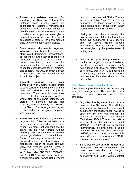- **Follow a consistent method for naming your files and folders.** For instance, divide a main folder into subfolders for customers, vendors, and co-workers. Give shortened names to identify what or whom the folders relate to. What's more, you can even give a different appearance or look to different categories of folders – this can make it easy to tell them apart at first glance.
- **Store related documents together, whatever their type.** For example, store Word documents, presentations, spreadsheets, and graphics related to a particular project in a single folder – rather than having one folder for presentations for all projects, another folder for spreadsheets for all projects, and so forth. This way, it's much quicker to find, open, and attach documents for a particular project.
- **Separate ongoing work from completed work.** Some people prefer to save current or ongoing work on their computer's desktop until a job is completed. Then, once it's done, they move it to the appropriate location, where files of the same category are stored. At periodic intervals (for example, weekly or every two weeks), move files you're no longer working on to the folders where your completed work is stored.
- **Avoid overfilling folders.** If you have a large number of files in one folder, or a large number of subfolders in a main folder – so many that you can't see the entire list on your screen without scrolling down – break them into smaller groups (subfolders or sub-subfolders). Think of creating a sequential menu, arranged either in chronological or alphabetical order, to make retrieval easy. For instance, you can divide a folder called "Business Plan" into subfolders called "BP2008," "BP2009," and "BP2010." Likewise, you can divide a folder for a client named Delta Traders

into subfolders named "Delta Traders sales presentations" and "Delta Traders contracts." The idea is to place every file into a logical folder or subfolder, rather than have one huge list of files.

Having said this, there is usually little point in creating a folder for fewer than about five documents. If you do, the time you spend clicking through subfolders to get to documents may not be outweighed by the greater ease of finding them.

 **Make sure your filing system is backed up.** Again, this is a bit tedious, but it's so important, as anyone who's had a failed disk drive will testify! Make sure, firstly, that your PC is backed up regularly and, secondly, that the backup includes the directories where you file information.

#### Prioritizing Your Files for Action

Take these approaches further by customizing your file management. This can help you prioritize your work, which can lead to better efficiency.

- **Organize files by dates**. Incorporate a date into the file name. This will help you determine which is the most recent document in the folder, without having to open the file and read through the content. For example, a file named "Guidelines 12Oct07" would indicate a version of the Guidelines file dated October 12, 2007. (If you're working internationally, be aware that in some countries this date can be presented as 101207, while in other countries, this same date can be shown as 121007. This can be very confusing!)
- Some people use **version numbers** to distinguish between documents that have been reworked or changed. Examples would be "Delta Traders contract v1" and "Delta Traders contract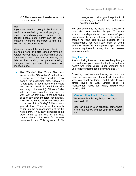v2." This also makes it easier to pick out the most current file.

#### **Tip:**

If your document is going to be looked at, used, or amended by several people, you need to be particularly careful about version control: people quite rightly can get very annoyed if versions are mixed up and their work on the document is lost.

Make sure you put the version number in the file name here, and also consider having a version control table at the beginning of the document showing the version number, the date of the version, the person making changes, and, perhaps, the nature of changes made.

 **Use "Tickler" files.** Tickler files, also known as the **"43 folders"** method, are a unique system that's used by many people for organizing files. Create 12 folders (one for each month of the year) and an additional 31 subfolders (for each day of the month). Fill each folder with the documents that you need to work with on that day. At the beginning of each day, open the folder for that day. Take all the items out of the folder and move them into a "today" folder or onto your desktop. Then move the empty folder into the corresponding slot for the next month. If you can't complete some work items by the end of the day, transfer them to the folder for the next convenient day. This system of file

management helps you keep track of everything you need to do, and it also doubles as a diary.

For any system to be useful and effective, it must also be convenient for you. To some extent, this depends on the nature of your business or the work that you do. So, although there's no "one size fits all" solution to file management, you will likely profit by using some of these file management tips, and by customizing them in a way that best serves your own needs.

#### Key Points

Are you losing too much time searching through the clutter on your computer for files that you need? And when you're under pressure, can you retrieve information quickly and easily?

Spending precious time looking for data can take the pleasure out of any kind of creative work you might be doing – and it adds to your stress levels as well. Simple good file management habits can hugely simplify your working life!

Making This Part of Your Life: We know this is boring, but you know you need to do it!

Clear an hour in your schedule somewhere in the next week, and set your filing system up!